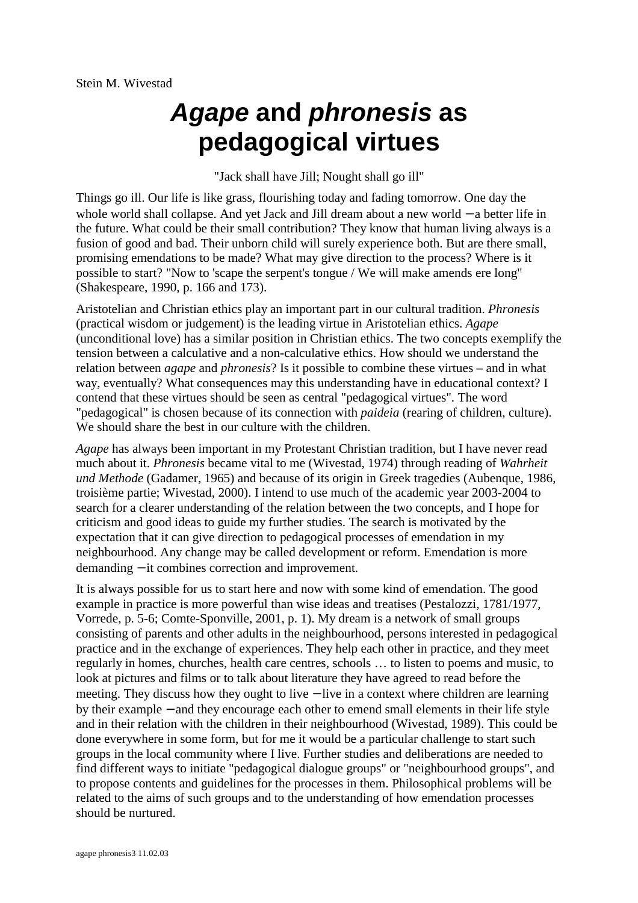# *Agape* **and** *phronesis* **as pedagogical virtues**

"Jack shall have Jill; Nought shall go ill"

Things go ill. Our life is like grass, flourishing today and fading tomorrow. One day the whole world shall collapse. And yet Jack and Jill dream about a new world − a better life in the future. What could be their small contribution? They know that human living always is a fusion of good and bad. Their unborn child will surely experience both. But are there small, promising emendations to be made? What may give direction to the process? Where is it possible to start? "Now to 'scape the serpent's tongue / We will make amends ere long" (Shakespeare, 1990, p. 166 and 173).

Aristotelian and Christian ethics play an important part in our cultural tradition. *Phronesis* (practical wisdom or judgement) is the leading virtue in Aristotelian ethics. *Agape*  (unconditional love) has a similar position in Christian ethics. The two concepts exemplify the tension between a calculative and a non-calculative ethics. How should we understand the relation between *agape* and *phronesis*? Is it possible to combine these virtues – and in what way, eventually? What consequences may this understanding have in educational context? I contend that these virtues should be seen as central "pedagogical virtues". The word "pedagogical" is chosen because of its connection with *paideia* (rearing of children, culture). We should share the best in our culture with the children.

*Agape* has always been important in my Protestant Christian tradition, but I have never read much about it. *Phronesis* became vital to me (Wivestad, 1974) through reading of *Wahrheit und Methode* (Gadamer, 1965) and because of its origin in Greek tragedies (Aubenque, 1986, troisième partie; Wivestad, 2000). I intend to use much of the academic year 2003-2004 to search for a clearer understanding of the relation between the two concepts, and I hope for criticism and good ideas to guide my further studies. The search is motivated by the expectation that it can give direction to pedagogical processes of emendation in my neighbourhood. Any change may be called development or reform. Emendation is more demanding − it combines correction and improvement.

It is always possible for us to start here and now with some kind of emendation. The good example in practice is more powerful than wise ideas and treatises (Pestalozzi, 1781/1977, Vorrede, p. 5-6; Comte-Sponville, 2001, p. 1). My dream is a network of small groups consisting of parents and other adults in the neighbourhood, persons interested in pedagogical practice and in the exchange of experiences. They help each other in practice, and they meet regularly in homes, churches, health care centres, schools … to listen to poems and music, to look at pictures and films or to talk about literature they have agreed to read before the meeting. They discuss how they ought to live – live in a context where children are learning by their example − and they encourage each other to emend small elements in their life style and in their relation with the children in their neighbourhood (Wivestad, 1989). This could be done everywhere in some form, but for me it would be a particular challenge to start such groups in the local community where I live. Further studies and deliberations are needed to find different ways to initiate "pedagogical dialogue groups" or "neighbourhood groups", and to propose contents and guidelines for the processes in them. Philosophical problems will be related to the aims of such groups and to the understanding of how emendation processes should be nurtured.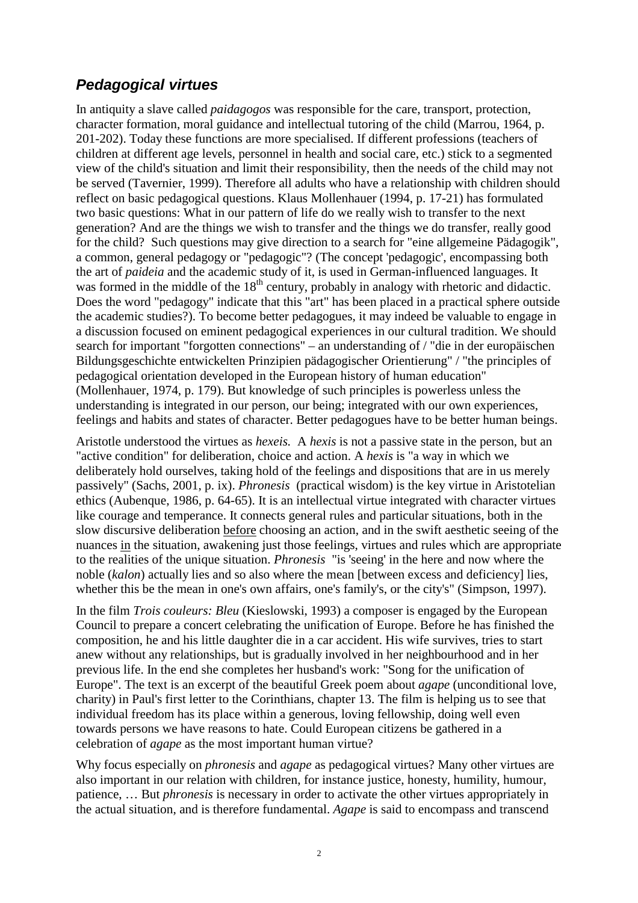# *Pedagogical virtues*

In antiquity a slave called *paidagogos* was responsible for the care, transport, protection, character formation, moral guidance and intellectual tutoring of the child (Marrou, 1964, p. 201-202). Today these functions are more specialised. If different professions (teachers of children at different age levels, personnel in health and social care, etc.) stick to a segmented view of the child's situation and limit their responsibility, then the needs of the child may not be served (Tavernier, 1999). Therefore all adults who have a relationship with children should reflect on basic pedagogical questions. Klaus Mollenhauer (1994, p. 17-21) has formulated two basic questions: What in our pattern of life do we really wish to transfer to the next generation? And are the things we wish to transfer and the things we do transfer, really good for the child? Such questions may give direction to a search for "eine allgemeine Pädagogik", a common, general pedagogy or "pedagogic"? (The concept 'pedagogic', encompassing both the art of *paideia* and the academic study of it, is used in German-influenced languages. It was formed in the middle of the  $18<sup>th</sup>$  century, probably in analogy with rhetoric and didactic. Does the word "pedagogy" indicate that this "art" has been placed in a practical sphere outside the academic studies?). To become better pedagogues, it may indeed be valuable to engage in a discussion focused on eminent pedagogical experiences in our cultural tradition. We should search for important "forgotten connections" – an understanding of / "die in der europäischen Bildungsgeschichte entwickelten Prinzipien pädagogischer Orientierung" / "the principles of pedagogical orientation developed in the European history of human education" (Mollenhauer, 1974, p. 179). But knowledge of such principles is powerless unless the understanding is integrated in our person, our being; integrated with our own experiences, feelings and habits and states of character. Better pedagogues have to be better human beings.

Aristotle understood the virtues as *hexeis.* A *hexis* is not a passive state in the person, but an "active condition" for deliberation, choice and action. A *hexis* is "a way in which we deliberately hold ourselves, taking hold of the feelings and dispositions that are in us merely passively" (Sachs, 2001, p. ix). *Phronesis* (practical wisdom) is the key virtue in Aristotelian ethics (Aubenque, 1986, p. 64-65). It is an intellectual virtue integrated with character virtues like courage and temperance. It connects general rules and particular situations, both in the slow discursive deliberation before choosing an action, and in the swift aesthetic seeing of the nuances in the situation, awakening just those feelings, virtues and rules which are appropriate to the realities of the unique situation. *Phronesis* "is 'seeing' in the here and now where the noble (*kalon*) actually lies and so also where the mean [between excess and deficiency] lies, whether this be the mean in one's own affairs, one's family's, or the city's" (Simpson, 1997).

In the film *Trois couleurs: Bleu* (Kieslowski, 1993) a composer is engaged by the European Council to prepare a concert celebrating the unification of Europe. Before he has finished the composition, he and his little daughter die in a car accident. His wife survives, tries to start anew without any relationships, but is gradually involved in her neighbourhood and in her previous life. In the end she completes her husband's work: "Song for the unification of Europe". The text is an excerpt of the beautiful Greek poem about *agape* (unconditional love, charity) in Paul's first letter to the Corinthians, chapter 13. The film is helping us to see that individual freedom has its place within a generous, loving fellowship, doing well even towards persons we have reasons to hate. Could European citizens be gathered in a celebration of *agape* as the most important human virtue?

Why focus especially on *phronesis* and *agape* as pedagogical virtues? Many other virtues are also important in our relation with children, for instance justice, honesty, humility, humour, patience, … But *phronesis* is necessary in order to activate the other virtues appropriately in the actual situation, and is therefore fundamental. *Agape* is said to encompass and transcend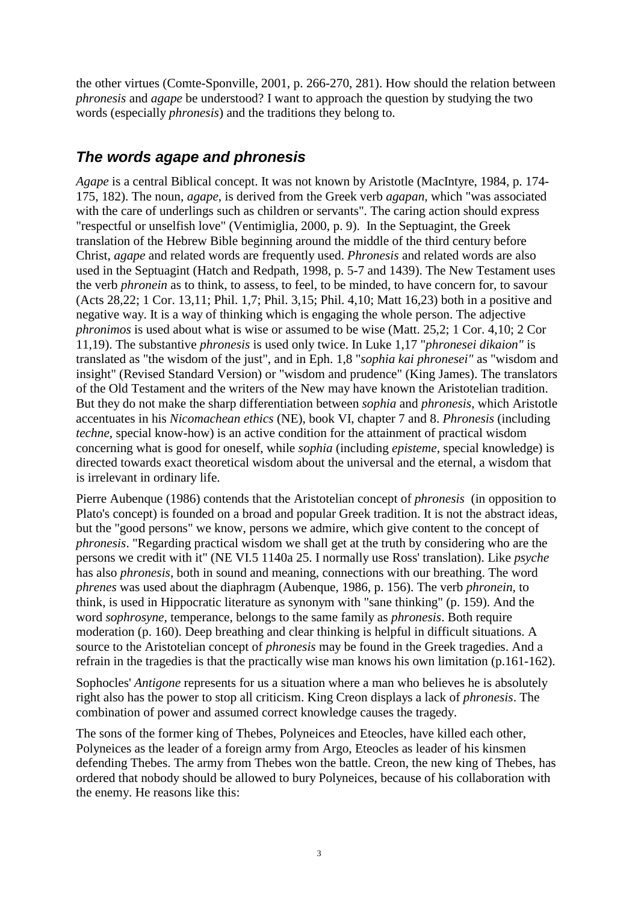the other virtues (Comte-Sponville, 2001, p. 266-270, 281). How should the relation between *phronesis* and *agape* be understood? I want to approach the question by studying the two words (especially *phronesis*) and the traditions they belong to.

## *The words agape and phronesis*

*Agape* is a central Biblical concept. It was not known by Aristotle (MacIntyre, 1984, p. 174- 175, 182). The noun, *agape*, is derived from the Greek verb *agapan,* which "was associated with the care of underlings such as children or servants". The caring action should express "respectful or unselfish love" (Ventimiglia, 2000, p. 9). In the Septuagint, the Greek translation of the Hebrew Bible beginning around the middle of the third century before Christ, *agape* and related words are frequently used. *Phronesis* and related words are also used in the Septuagint (Hatch and Redpath, 1998, p. 5-7 and 1439). The New Testament uses the verb *phronein* as to think, to assess, to feel, to be minded, to have concern for, to savour (Acts 28,22; 1 Cor. 13,11; Phil. 1,7; Phil. 3,15; Phil. 4,10; Matt 16,23) both in a positive and negative way. It is a way of thinking which is engaging the whole person. The adjective *phronimos* is used about what is wise or assumed to be wise (Matt. 25,2; 1 Cor. 4,10; 2 Cor 11,19). The substantive *phronesis* is used only twice. In Luke 1,17 "*phronesei dikaion"* is translated as "the wisdom of the just", and in Eph. 1,8 "*sophia kai phronesei"* as "wisdom and insight" (Revised Standard Version) or "wisdom and prudence" (King James). The translators of the Old Testament and the writers of the New may have known the Aristotelian tradition. But they do not make the sharp differentiation between *sophia* and *phronesis*, which Aristotle accentuates in his *Nicomachean ethics* (NE), book VI, chapter 7 and 8. *Phronesis* (including *techne,* special know-how) is an active condition for the attainment of practical wisdom concerning what is good for oneself, while *sophia* (including *episteme,* special knowledge) is directed towards exact theoretical wisdom about the universal and the eternal, a wisdom that is irrelevant in ordinary life.

Pierre Aubenque (1986) contends that the Aristotelian concept of *phronesis* (in opposition to Plato's concept) is founded on a broad and popular Greek tradition. It is not the abstract ideas, but the "good persons" we know, persons we admire, which give content to the concept of *phronesis*. "Regarding practical wisdom we shall get at the truth by considering who are the persons we credit with it" (NE VI.5 1140a 25. I normally use Ross' translation). Like *psyche* has also *phronesis,* both in sound and meaning, connections with our breathing. The word *phrenes* was used about the diaphragm (Aubenque, 1986, p. 156). The verb *phronein,* to think, is used in Hippocratic literature as synonym with "sane thinking" (p. 159). And the word *sophrosyne,* temperance, belongs to the same family as *phronesis*. Both require moderation (p. 160). Deep breathing and clear thinking is helpful in difficult situations. A source to the Aristotelian concept of *phronesis* may be found in the Greek tragedies. And a refrain in the tragedies is that the practically wise man knows his own limitation (p.161-162).

Sophocles' *Antigone* represents for us a situation where a man who believes he is absolutely right also has the power to stop all criticism. King Creon displays a lack of *phronesis*. The combination of power and assumed correct knowledge causes the tragedy.

The sons of the former king of Thebes, Polyneices and Eteocles, have killed each other, Polyneices as the leader of a foreign army from Argo, Eteocles as leader of his kinsmen defending Thebes. The army from Thebes won the battle. Creon, the new king of Thebes, has ordered that nobody should be allowed to bury Polyneices, because of his collaboration with the enemy. He reasons like this: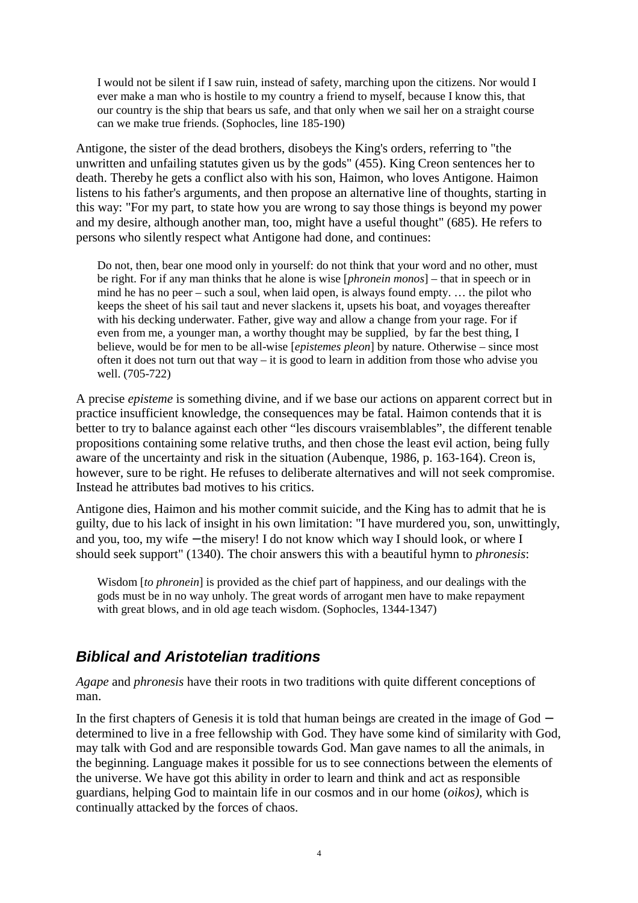I would not be silent if I saw ruin, instead of safety, marching upon the citizens. Nor would I ever make a man who is hostile to my country a friend to myself, because I know this, that our country is the ship that bears us safe, and that only when we sail her on a straight course can we make true friends. (Sophocles, line 185-190)

Antigone, the sister of the dead brothers, disobeys the King's orders, referring to "the unwritten and unfailing statutes given us by the gods" (455). King Creon sentences her to death. Thereby he gets a conflict also with his son, Haimon, who loves Antigone. Haimon listens to his father's arguments, and then propose an alternative line of thoughts, starting in this way: "For my part, to state how you are wrong to say those things is beyond my power and my desire, although another man, too, might have a useful thought" (685). He refers to persons who silently respect what Antigone had done, and continues:

Do not, then, bear one mood only in yourself: do not think that your word and no other, must be right. For if any man thinks that he alone is wise [*phronein monos*] – that in speech or in mind he has no peer – such a soul, when laid open, is always found empty. … the pilot who keeps the sheet of his sail taut and never slackens it, upsets his boat, and voyages thereafter with his decking underwater. Father, give way and allow a change from your rage. For if even from me, a younger man, a worthy thought may be supplied, by far the best thing, I believe, would be for men to be all-wise [*epistemes pleon*] by nature. Otherwise – since most often it does not turn out that way – it is good to learn in addition from those who advise you well. (705-722)

A precise *episteme* is something divine, and if we base our actions on apparent correct but in practice insufficient knowledge, the consequences may be fatal. Haimon contends that it is better to try to balance against each other "les discours vraisemblables", the different tenable propositions containing some relative truths, and then chose the least evil action, being fully aware of the uncertainty and risk in the situation (Aubenque, 1986, p. 163-164). Creon is, however, sure to be right. He refuses to deliberate alternatives and will not seek compromise. Instead he attributes bad motives to his critics.

Antigone dies, Haimon and his mother commit suicide, and the King has to admit that he is guilty, due to his lack of insight in his own limitation: "I have murdered you, son, unwittingly, and you, too, my wife − the misery! I do not know which way I should look, or where I should seek support" (1340). The choir answers this with a beautiful hymn to *phronesis*:

Wisdom [*to phronein*] is provided as the chief part of happiness, and our dealings with the gods must be in no way unholy. The great words of arrogant men have to make repayment with great blows, and in old age teach wisdom. (Sophocles, 1344-1347)

## *Biblical and Aristotelian traditions*

*Agape* and *phronesis* have their roots in two traditions with quite different conceptions of man.

In the first chapters of Genesis it is told that human beings are created in the image of God − determined to live in a free fellowship with God. They have some kind of similarity with God, may talk with God and are responsible towards God. Man gave names to all the animals, in the beginning. Language makes it possible for us to see connections between the elements of the universe. We have got this ability in order to learn and think and act as responsible guardians, helping God to maintain life in our cosmos and in our home (*oikos),* which is continually attacked by the forces of chaos.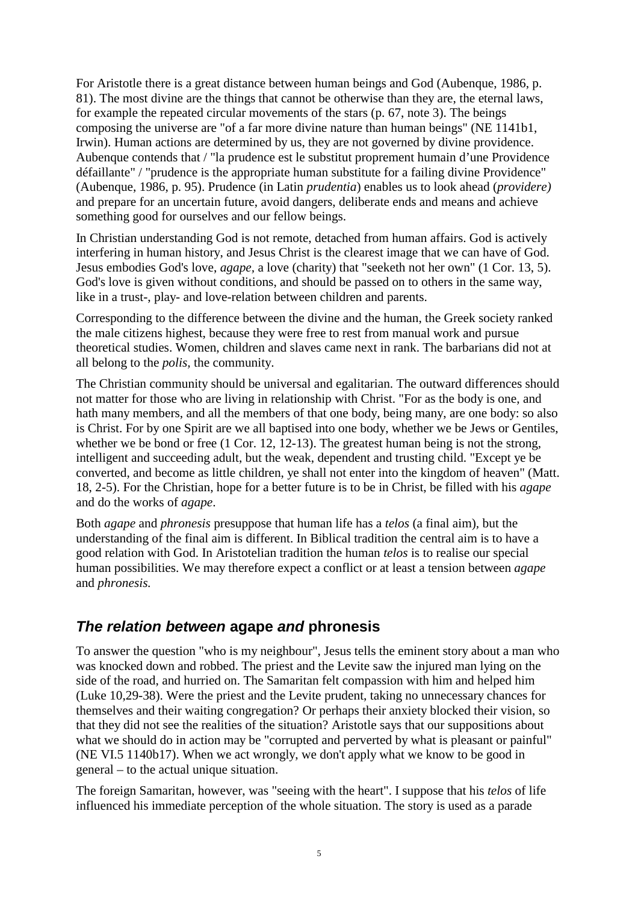For Aristotle there is a great distance between human beings and God (Aubenque, 1986, p. 81). The most divine are the things that cannot be otherwise than they are, the eternal laws, for example the repeated circular movements of the stars (p. 67, note 3). The beings composing the universe are "of a far more divine nature than human beings" (NE 1141b1, Irwin). Human actions are determined by us, they are not governed by divine providence. Aubenque contends that / "la prudence est le substitut proprement humain d'une Providence défaillante" / "prudence is the appropriate human substitute for a failing divine Providence" (Aubenque, 1986, p. 95). Prudence (in Latin *prudentia*) enables us to look ahead (*providere)*  and prepare for an uncertain future, avoid dangers, deliberate ends and means and achieve something good for ourselves and our fellow beings.

In Christian understanding God is not remote, detached from human affairs. God is actively interfering in human history, and Jesus Christ is the clearest image that we can have of God. Jesus embodies God's love, *agape,* a love (charity) that "seeketh not her own" (1 Cor. 13, 5). God's love is given without conditions, and should be passed on to others in the same way, like in a trust-, play- and love-relation between children and parents.

Corresponding to the difference between the divine and the human, the Greek society ranked the male citizens highest, because they were free to rest from manual work and pursue theoretical studies. Women, children and slaves came next in rank. The barbarians did not at all belong to the *polis,* the community.

The Christian community should be universal and egalitarian. The outward differences should not matter for those who are living in relationship with Christ. "For as the body is one, and hath many members, and all the members of that one body, being many, are one body: so also is Christ. For by one Spirit are we all baptised into one body, whether we be Jews or Gentiles, whether we be bond or free (1 Cor. 12, 12-13). The greatest human being is not the strong, intelligent and succeeding adult, but the weak, dependent and trusting child. "Except ye be converted, and become as little children, ye shall not enter into the kingdom of heaven" (Matt. 18, 2-5). For the Christian, hope for a better future is to be in Christ, be filled with his *agape*  and do the works of *agape*.

Both *agape* and *phronesis* presuppose that human life has a *telos* (a final aim)*,* but the understanding of the final aim is different. In Biblical tradition the central aim is to have a good relation with God. In Aristotelian tradition the human *telos* is to realise our special human possibilities. We may therefore expect a conflict or at least a tension between *agape* and *phronesis.* 

## *The relation between* **agape** *and* **phronesis**

To answer the question "who is my neighbour", Jesus tells the eminent story about a man who was knocked down and robbed. The priest and the Levite saw the injured man lying on the side of the road, and hurried on. The Samaritan felt compassion with him and helped him (Luke 10,29-38). Were the priest and the Levite prudent, taking no unnecessary chances for themselves and their waiting congregation? Or perhaps their anxiety blocked their vision, so that they did not see the realities of the situation? Aristotle says that our suppositions about what we should do in action may be "corrupted and perverted by what is pleasant or painful" (NE VI.5 1140b17). When we act wrongly, we don't apply what we know to be good in general – to the actual unique situation.

The foreign Samaritan, however, was "seeing with the heart". I suppose that his *telos* of life influenced his immediate perception of the whole situation. The story is used as a parade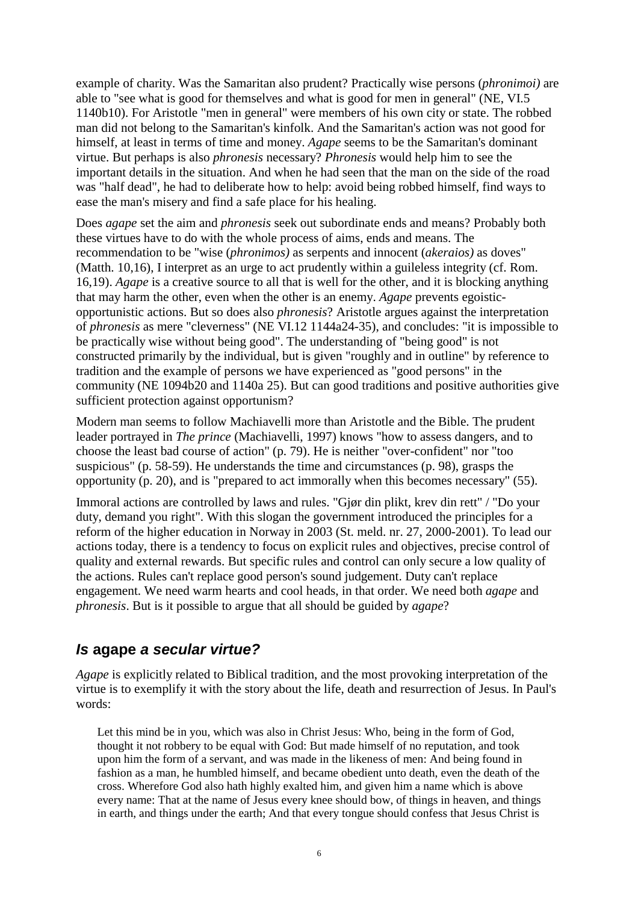example of charity. Was the Samaritan also prudent? Practically wise persons (*phronimoi)* are able to "see what is good for themselves and what is good for men in general" (NE, VI.5 1140b10). For Aristotle "men in general" were members of his own city or state. The robbed man did not belong to the Samaritan's kinfolk. And the Samaritan's action was not good for himself, at least in terms of time and money. *Agape* seems to be the Samaritan's dominant virtue. But perhaps is also *phronesis* necessary? *Phronesis* would help him to see the important details in the situation. And when he had seen that the man on the side of the road was "half dead", he had to deliberate how to help: avoid being robbed himself, find ways to ease the man's misery and find a safe place for his healing.

Does *agape* set the aim and *phronesis* seek out subordinate ends and means? Probably both these virtues have to do with the whole process of aims, ends and means. The recommendation to be "wise (*phronimos)* as serpents and innocent (*akeraios)* as doves" (Matth. 10,16), I interpret as an urge to act prudently within a guileless integrity (cf. Rom. 16,19). *Agape* is a creative source to all that is well for the other, and it is blocking anything that may harm the other, even when the other is an enemy. *Agape* prevents egoisticopportunistic actions. But so does also *phronesis*? Aristotle argues against the interpretation of *phronesis* as mere "cleverness" (NE VI.12 1144a24-35), and concludes: "it is impossible to be practically wise without being good". The understanding of "being good" is not constructed primarily by the individual, but is given "roughly and in outline" by reference to tradition and the example of persons we have experienced as "good persons" in the community (NE 1094b20 and 1140a 25). But can good traditions and positive authorities give sufficient protection against opportunism?

Modern man seems to follow Machiavelli more than Aristotle and the Bible. The prudent leader portrayed in *The prince* (Machiavelli, 1997) knows "how to assess dangers, and to choose the least bad course of action" (p. 79). He is neither "over-confident" nor "too suspicious" (p. 58-59). He understands the time and circumstances (p. 98), grasps the opportunity (p. 20), and is "prepared to act immorally when this becomes necessary" (55).

Immoral actions are controlled by laws and rules. "Gjør din plikt, krev din rett" / "Do your duty, demand you right". With this slogan the government introduced the principles for a reform of the higher education in Norway in 2003 (St. meld. nr. 27, 2000-2001). To lead our actions today, there is a tendency to focus on explicit rules and objectives, precise control of quality and external rewards. But specific rules and control can only secure a low quality of the actions. Rules can't replace good person's sound judgement. Duty can't replace engagement. We need warm hearts and cool heads, in that order. We need both *agape* and *phronesis*. But is it possible to argue that all should be guided by *agape*?

#### *Is* **agape** *a secular virtue?*

*Agape* is explicitly related to Biblical tradition, and the most provoking interpretation of the virtue is to exemplify it with the story about the life, death and resurrection of Jesus. In Paul's words:

Let this mind be in you, which was also in Christ Jesus: Who, being in the form of God, thought it not robbery to be equal with God: But made himself of no reputation, and took upon him the form of a servant, and was made in the likeness of men: And being found in fashion as a man, he humbled himself, and became obedient unto death, even the death of the cross. Wherefore God also hath highly exalted him, and given him a name which is above every name: That at the name of Jesus every knee should bow, of things in heaven, and things in earth, and things under the earth; And that every tongue should confess that Jesus Christ is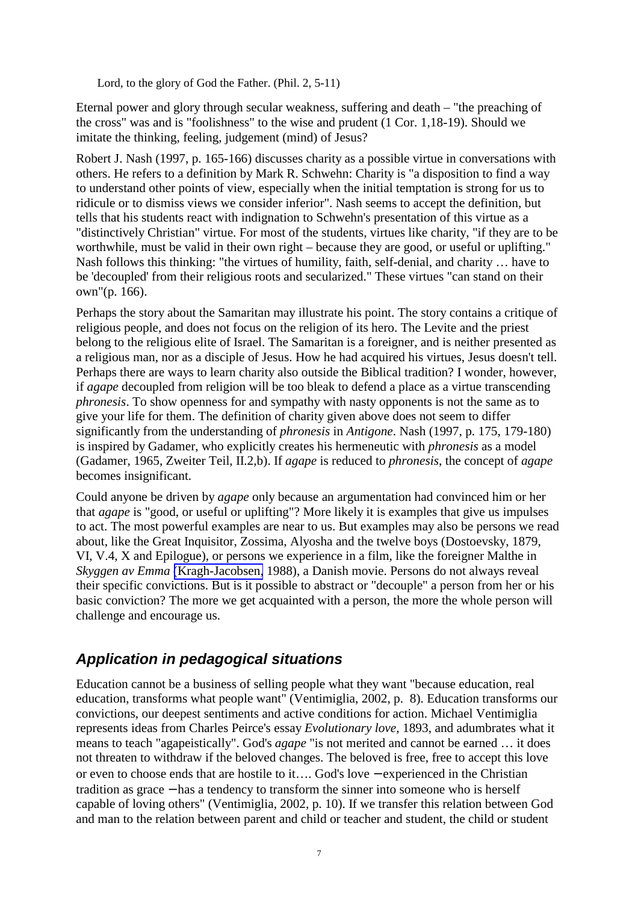Lord, to the glory of God the Father. (Phil. 2, 5-11)

Eternal power and glory through secular weakness, suffering and death – "the preaching of the cross" was and is "foolishness" to the wise and prudent (1 Cor. 1,18-19). Should we imitate the thinking, feeling, judgement (mind) of Jesus?

Robert J. Nash (1997, p. 165-166) discusses charity as a possible virtue in conversations with others. He refers to a definition by Mark R. Schwehn: Charity is "a disposition to find a way to understand other points of view, especially when the initial temptation is strong for us to ridicule or to dismiss views we consider inferior". Nash seems to accept the definition, but tells that his students react with indignation to Schwehn's presentation of this virtue as a "distinctively Christian" virtue. For most of the students, virtues like charity, "if they are to be worthwhile, must be valid in their own right – because they are good, or useful or uplifting." Nash follows this thinking: "the virtues of humility, faith, self-denial, and charity … have to be 'decoupled' from their religious roots and secularized." These virtues "can stand on their own"(p. 166).

Perhaps the story about the Samaritan may illustrate his point. The story contains a critique of religious people, and does not focus on the religion of its hero. The Levite and the priest belong to the religious elite of Israel. The Samaritan is a foreigner, and is neither presented as a religious man, nor as a disciple of Jesus. How he had acquired his virtues, Jesus doesn't tell. Perhaps there are ways to learn charity also outside the Biblical tradition? I wonder, however, if *agape* decoupled from religion will be too bleak to defend a place as a virtue transcending *phronesis*. To show openness for and sympathy with nasty opponents is not the same as to give your life for them. The definition of charity given above does not seem to differ significantly from the understanding of *phronesis* in *Antigone*. Nash (1997, p. 175, 179-180) is inspired by Gadamer, who explicitly creates his hermeneutic with *phronesis* as a model (Gadamer, 1965, Zweiter Teil, II.2,b). If *agape* is reduced to *phronesis*, the concept of *agape* becomes insignificant.

Could anyone be driven by *agape* only because an argumentation had convinced him or her that *agape* is "good, or useful or uplifting"? More likely it is examples that give us impulses to act. The most powerful examples are near to us. But examples may also be persons we read about, like the Great Inquisitor, Zossima, Alyosha and the twelve boys (Dostoevsky, 1879, VI, V.4, X and Epilogue), or persons we experience in a film, like the foreigner Malthe in *Skyggen av Emma* (Kragh-Jacobsen, 1988), a Danish movie. Persons do not always reveal their specific convictions. But is it possible to abstract or "decouple" a person from her or his basic conviction? The more we get acquainted with a person, the more the whole person will challenge and encourage us.

## *Application in pedagogical situations*

Education cannot be a business of selling people what they want "because education, real education, transforms what people want" (Ventimiglia, 2002, p. 8). Education transforms our convictions, our deepest sentiments and active conditions for action. Michael Ventimiglia represents ideas from Charles Peirce's essay *Evolutionary love,* 1893, and adumbrates what it means to teach "agapeistically". God's *agape* "is not merited and cannot be earned … it does not threaten to withdraw if the beloved changes. The beloved is free, free to accept this love or even to choose ends that are hostile to it…. God's love − experienced in the Christian tradition as grace − has a tendency to transform the sinner into someone who is herself capable of loving others" (Ventimiglia, 2002, p. 10). If we transfer this relation between God and man to the relation between parent and child or teacher and student, the child or student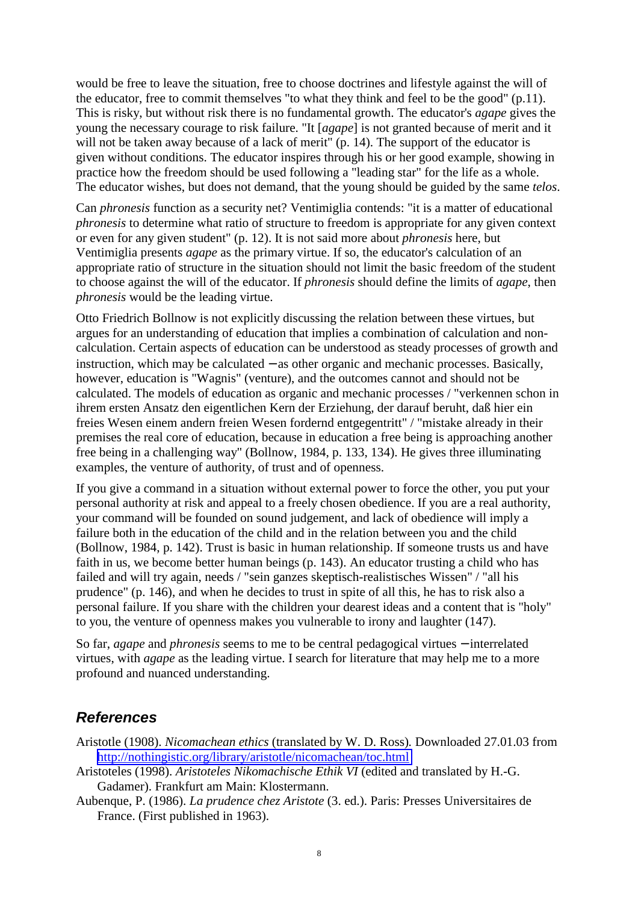would be free to leave the situation, free to choose doctrines and lifestyle against the will of the educator, free to commit themselves "to what they think and feel to be the good" (p.11). This is risky, but without risk there is no fundamental growth. The educator's *agape* gives the young the necessary courage to risk failure. "It [*agape*] is not granted because of merit and it will not be taken away because of a lack of merit" (p. 14). The support of the educator is given without conditions. The educator inspires through his or her good example, showing in practice how the freedom should be used following a "leading star" for the life as a whole. The educator wishes, but does not demand, that the young should be guided by the same *telos*.

Can *phronesis* function as a security net? Ventimiglia contends: "it is a matter of educational *phronesis* to determine what ratio of structure to freedom is appropriate for any given context or even for any given student" (p. 12). It is not said more about *phronesis* here, but Ventimiglia presents *agape* as the primary virtue. If so, the educator's calculation of an appropriate ratio of structure in the situation should not limit the basic freedom of the student to choose against the will of the educator. If *phronesis* should define the limits of *agape*, then *phronesis* would be the leading virtue.

Otto Friedrich Bollnow is not explicitly discussing the relation between these virtues, but argues for an understanding of education that implies a combination of calculation and noncalculation. Certain aspects of education can be understood as steady processes of growth and instruction, which may be calculated − as other organic and mechanic processes. Basically, however, education is "Wagnis" (venture), and the outcomes cannot and should not be calculated. The models of education as organic and mechanic processes / "verkennen schon in ihrem ersten Ansatz den eigentlichen Kern der Erziehung, der darauf beruht, daß hier ein freies Wesen einem andern freien Wesen fordernd entgegentritt" / "mistake already in their premises the real core of education, because in education a free being is approaching another free being in a challenging way" (Bollnow, 1984, p. 133, 134). He gives three illuminating examples, the venture of authority, of trust and of openness.

If you give a command in a situation without external power to force the other, you put your personal authority at risk and appeal to a freely chosen obedience. If you are a real authority, your command will be founded on sound judgement, and lack of obedience will imply a failure both in the education of the child and in the relation between you and the child (Bollnow, 1984, p. 142). Trust is basic in human relationship. If someone trusts us and have faith in us, we become better human beings (p. 143). An educator trusting a child who has failed and will try again, needs / "sein ganzes skeptisch-realistisches Wissen" / "all his prudence" (p. 146), and when he decides to trust in spite of all this, he has to risk also a personal failure. If you share with the children your dearest ideas and a content that is "holy" to you, the venture of openness makes you vulnerable to irony and laughter (147).

So far, *agape* and *phronesis* seems to me to be central pedagogical virtues − interrelated virtues, with *agape* as the leading virtue. I search for literature that may help me to a more profound and nuanced understanding.

#### *References*

- Aristotle (1908). *Nicomachean ethics* (translated by W. D. Ross)*.* Downloaded 27.01.03 from <http://nothingistic.org/library/aristotle/nicomachean/toc.html>
- Aristoteles (1998). *Aristoteles Nikomachische Ethik VI* (edited and translated by H.-G. Gadamer). Frankfurt am Main: Klostermann.
- Aubenque, P. (1986). *La prudence chez Aristote* (3. ed.). Paris: Presses Universitaires de France. (First published in 1963).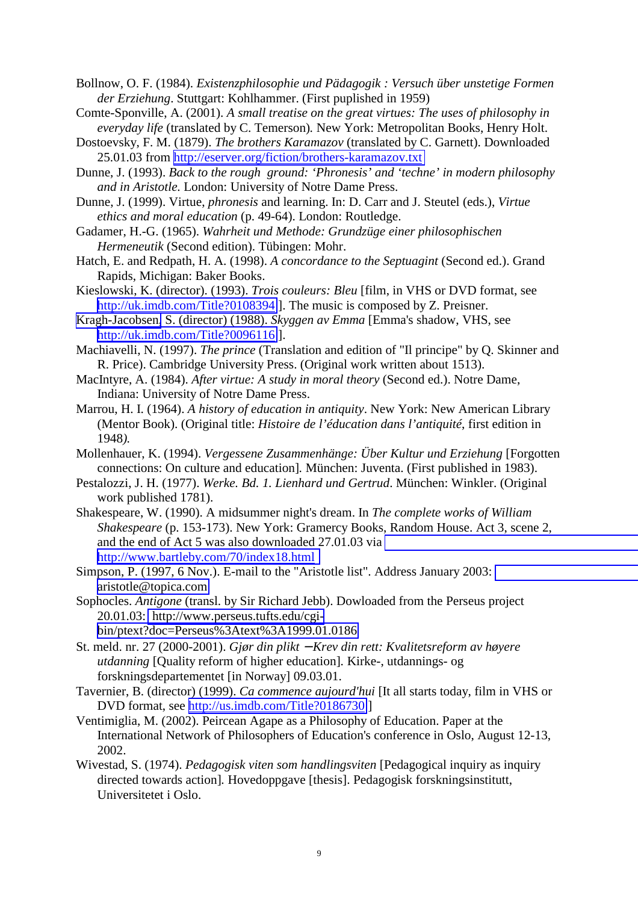- Bollnow, O. F. (1984). *Existenzphilosophie und Pädagogik : Versuch über unstetige Formen der Erziehung*. Stuttgart: Kohlhammer. (First puplished in 1959)
- Comte-Sponville, A. (2001). *A small treatise on the great virtues: The uses of philosophy in everyday life* (translated by C. Temerson)*.* New York: Metropolitan Books, Henry Holt.
- Dostoevsky, F. M. (1879). *The brothers Karamazov* (translated by C. Garnett). Downloaded 25.01.03 from<http://eserver.org/fiction/brothers-karamazov.txt>
- Dunne, J. (1993). *Back to the rough ground: 'Phronesis' and 'techne' in modern philosophy and in Aristotle.* London: University of Notre Dame Press.
- Dunne, J. (1999). Virtue, *phronesis* and learning. In: D. Carr and J. Steutel (eds.), *Virtue ethics and moral education* (p. 49-64). London: Routledge.
- Gadamer, H.-G. (1965). *Wahrheit und Methode: Grundzüge einer philosophischen Hermeneutik* (Second edition). Tübingen: Mohr.
- Hatch, E. and Redpath, H. A. (1998). *A concordance to the Septuagint* (Second ed.). Grand Rapids, Michigan: Baker Books.
- Kieslowski, K. (director). (1993). *Trois couleurs: Bleu* [film, in VHS or DVD format, see <http://uk.imdb.com/Title?0108394>]. The music is composed by Z. Preisner.
- Kragh-Jacobsen, S. (director) (1988). *Skyggen av Emma* [Emma's shadow, VHS, see <http://uk.imdb.com/Title?0096116>].
- Machiavelli, N. (1997). *The prince* (Translation and edition of "Il principe" by Q. Skinner and R. Price). Cambridge University Press. (Original work written about 1513).
- MacIntyre, A. (1984). *After virtue: A study in moral theory* (Second ed.). Notre Dame, Indiana: University of Notre Dame Press.
- Marrou, H. I. (1964). *A history of education in antiquity*. New York: New American Library (Mentor Book). (Original title: *Histoire de l'éducation dans l'antiquité*, first edition in 1948*).*
- Mollenhauer, K. (1994). *Vergessene Zusammenhänge: Über Kultur und Erziehung* [Forgotten connections: On culture and education]*.* München: Juventa. (First published in 1983).
- Pestalozzi, J. H. (1977). *Werke. Bd. 1. Lienhard und Gertrud*. München: Winkler. (Original work published 1781).
- Shakespeare, W. (1990). A midsummer night's dream. In *The complete works of William Shakespeare* (p. 153-173). New York: Gramercy Books, Random House. Act 3, scene 2, and the end of Act 5 was also downloaded 27.01.03 via [http://www.bartleby.com/70/index18.html](http://classics.mit.edu/Shakespeare/midsummer/index.html)
- Simpson, P. (1997, 6 Nov.). E-mail to the "Aristotle list". Address January 2003: [aristotle@topica.com](mailto:aristotle@lists.enteract.com)
- Sophocles. *Antigone* (transl. by Sir Richard Jebb). Dowloaded from the Perseus project 20.01.03: [http://www.perseus.tufts.edu/cgi](http://www.perseus.tufts.edu/cgi-bin/text?lookup=soph.+ant.+1347)[bin/ptext?doc=Perseus%3Atext%3A1999.01.0186](http://www.perseus.tufts.edu/cgi-bin/text?lookup=soph.+ant.+1347)
- St. meld. nr. 27 (2000-2001). *Gjør din plikt* − *Krev din rett: Kvalitetsreform av høyere utdanning* [Quality reform of higher education]*.* Kirke-, utdannings- og forskningsdepartementet [in Norway] 09.03.01.
- Tavernier, B. (director) (1999). *Ca commence aujourd'hui* [It all starts today, film in VHS or DVD format, see <http://us.imdb.com/Title?0186730>]
- Ventimiglia, M. (2002). Peircean Agape as a Philosophy of Education. Paper at the International Network of Philosophers of Education's conference in Oslo, August 12-13, 2002.
- Wivestad, S. (1974). *Pedagogisk viten som handlingsviten* [Pedagogical inquiry as inquiry directed towards action]*.* Hovedoppgave [thesis]. Pedagogisk forskningsinstitutt, Universitetet i Oslo.